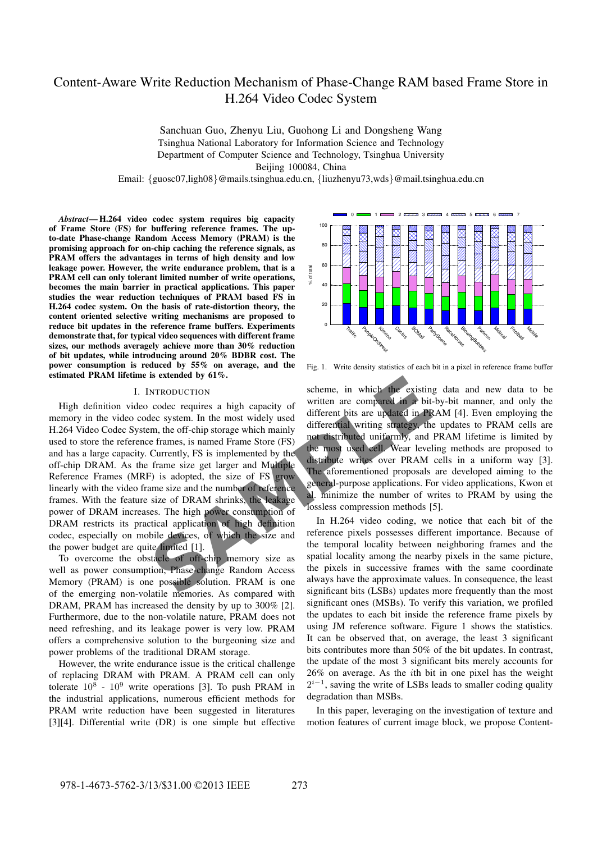# Content-Aware Write Reduction Mechanism of Phase-Change RAM based Frame Store in H.264 Video Codec System

Sanchuan Guo, Zhenyu Liu, Guohong Li and Dongsheng Wang Tsinghua National Laboratory for Information Science and Technology Department of Computer Science and Technology, Tsinghua University Beijing 100084, China

Email: {guosc07,ligh08}@mails.tsinghua.edu.cn, {liuzhenyu73,wds}@mail.tsinghua.edu.cn

*Abstract***— H.264 video codec system requires big capacity of Frame Store (FS) for buffering reference frames. The upto-date Phase-change Random Access Memory (PRAM) is the promising approach for on-chip caching the reference signals, as PRAM offers the advantages in terms of high density and low leakage power. However, the write endurance problem, that is a PRAM cell can only tolerant limited number of write operations, becomes the main barrier in practical applications. This paper studies the wear reduction techniques of PRAM based FS in H.264 codec system. On the basis of rate-distortion theory, the content oriented selective writing mechanisms are proposed to reduce bit updates in the reference frame buffers. Experiments demonstrate that, for typical video sequences with different frame sizes, our methods averagely achieve more than 30% reduction of bit updates, while introducing around 20% BDBR cost. The power consumption is reduced by 55% on average, and the estimated PRAM lifetime is extended by 61%.**

## I. INTRODUCTION

STRIG SUPER THE SUPER THE PRAM is one approximate the possible solution. PRAM is one alternative member of possible solution. PRAM is one possible solution. PRAM is one alternative member of possible solution. RAM is one a High definition video codec requires a high capacity of memory in the video codec system. In the most widely used H.264 Video Codec System, the off-chip storage which mainly used to store the reference frames, is named Frame Store (FS) and has a large capacity. Currently, FS is implemented by the off-chip DRAM. As the frame size get larger and Multiple Reference Frames (MRF) is adopted, the size of FS grow linearly with the video frame size and the number of reference frames. With the feature size of DRAM shrinks, the leakage power of DRAM increases. The high power consumption of DRAM restricts its practical application of high definition codec, especially on mobile devices, of which the size and the power budget are quite limited [1].

To overcome the obstacle of off-chip memory size as well as power consumption, Phase-change Random Access Memory (PRAM) is one possible solution. PRAM is one of the emerging non-volatile memories. As compared with DRAM, PRAM has increased the density by up to 300% [2]. Furthermore, due to the non-volatile nature, PRAM does not need refreshing, and its leakage power is very low. PRAM offers a comprehensive solution to the burgeoning size and power problems of the traditional DRAM storage.

However, the write endurance issue is the critical challenge of replacing DRAM with PRAM. A PRAM cell can only tolerate  $10^8 \text{ - } 10^9$  write operations [3]. To push PRAM in the industrial applications, numerous efficient methods for PRAM write reduction have been suggested in literatures [3][4]. Differential write (DR) is one simple but effective



Fig. 1. Write density statistics of each bit in a pixel in reference frame buffer

scheme, in which the existing data and new data to be written are compared in a bit-by-bit manner, and only the different bits are updated in PRAM [4]. Even employing the differential writing strategy, the updates to PRAM cells are not distributed uniformly, and PRAM lifetime is limited by the most used cell. Wear leveling methods are proposed to distribute writes over PRAM cells in a uniform way [3]. The aforementioned proposals are developed aiming to the general-purpose applications. For video applications, Kwon et al. minimize the number of writes to PRAM by using the lossless compression methods [5].

In H.264 video coding, we notice that each bit of the reference pixels possesses different importance. Because of the temporal locality between neighboring frames and the spatial locality among the nearby pixels in the same picture, the pixels in successive frames with the same coordinate always have the approximate values. In consequence, the least significant bits (LSBs) updates more frequently than the most significant ones (MSBs). To verify this variation, we profiled the updates to each bit inside the reference frame pixels by using JM reference software. Figure 1 shows the statistics. It can be observed that, on average, the least 3 significant bits contributes more than 50% of the bit updates. In contrast, the update of the most 3 significant bits merely accounts for 26% on average. As the ith bit in one pixel has the weight  $2^{i-1}$ , saving the write of LSBs leads to smaller coding quality degradation than MSBs.

In this paper, leveraging on the investigation of texture and motion features of current image block, we propose Content-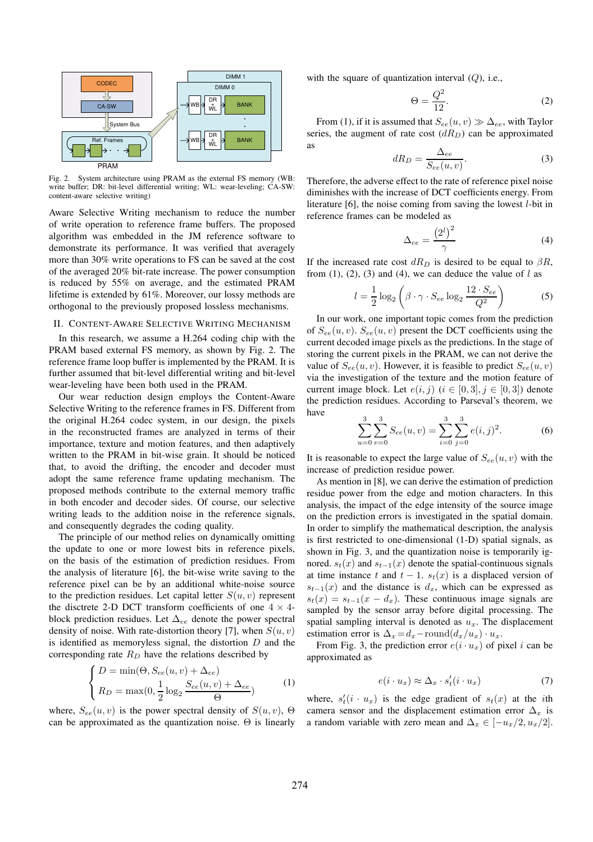

Fig. 2. System architecture using PRAM as the external FS memory (WB: write buffer; DR: bit-level differential writing; WL: wear-leveling; CA-SW: content-aware selective writing)

Aware Selective Writing mechanism to reduce the number of write operation to reference frame buffers. The proposed algorithm was embedded in the JM reference software to demonstrate its performance. It was verified that averagely more than 30% write operations to FS can be saved at the cost of the averaged 20% bit-rate increase. The power consumption is reduced by 55% on average, and the estimated PRAM lifetime is extended by 61%. Moreover, our lossy methods are orthogonal to the previously proposed lossless mechanisms.

#### II. CONTENT-AWARE SELECTIVE WRITING MECHANISM

In this research, we assume a H.264 coding chip with the PRAM based external FS memory, as shown by Fig. 2. The reference frame loop buffer is implemented by the PRAM. It is further assumed that bit-level differential writing and bit-level wear-leveling have been both used in the PRAM.

Our wear reduction design employs the Content-Aware Selective Writing to the reference frames in FS. Different from the original H.264 codec system, in our design, the pixels in the reconstructed frames are analyzed in terms of their importance, texture and motion features, and then adaptively written to the PRAM in bit-wise grain. It should be noticed that, to avoid the drifting, the encoder and decoder must adopt the same reference frame updating mechanism. The proposed methods contribute to the external memory traffic in both encoder and decoder sides. Of course, our selective writing leads to the addition noise in the reference signals, and consequently degrades the coding quality.

The principle of our method relies on dynamically omitting the update to one or more lowest bits in reference pixels, on the basis of the estimation of prediction residues. From the analysis of literature [6], the bit-wise write saving to the reference pixel can be by an additional white-noise source to the prediction residues. Let capital letter  $S(u, v)$  represent the disctrete 2-D DCT transform coefficients of one  $4 \times 4$ block prediction residues. Let  $\Delta_{ee}$  denote the power spectral density of noise. With rate-distortion theory [7], when  $S(u, v)$ is identified as memoryless signal, the distortion  $D$  and the corresponding rate  $R_D$  have the relations described by

$$
\begin{cases}\nD = \min(\Theta, S_{ee}(u, v) + \Delta_{ee}) \\
R_D = \max(0, \frac{1}{2} \log_2 \frac{S_{ee}(u, v) + \Delta_{ee}}{\Theta})\n\end{cases}
$$
\n(1)

where,  $S_{ee}(u, v)$  is the power spectral density of  $S(u, v)$ ,  $\Theta$ can be approximated as the quantization noise.  $\Theta$  is linearly with the square of quantization interval  $(Q)$ , i.e.,

$$
\Theta = \frac{Q^2}{12}.\tag{2}
$$

From (1), if it is assumed that  $S_{ee}(u, v) \gg \Delta_{ee}$ , with Taylor series, the augment of rate cost  $(dR_D)$  can be approximated as

$$
dR_D = \frac{\Delta_{ee}}{S_{ee}(u, v)}.\t\t(3)
$$

Therefore, the adverse effect to the rate of reference pixel noise diminishes with the increase of DCT coefficients energy. From literature [6], the noise coming from saving the lowest l-bit in reference frames can be modeled as

$$
\Delta_{ee} = \frac{\left(2^l\right)^2}{\gamma} \tag{4}
$$

If the increased rate cost  $dR_D$  is desired to be equal to  $\beta R$ , from (1), (2), (3) and (4), we can deduce the value of  $l$  as

$$
l = \frac{1}{2}\log_2\left(\beta \cdot \gamma \cdot S_{ee}\log_2\frac{12 \cdot S_{ee}}{Q^2}\right)
$$
 (5)

In our work, one important topic comes from the prediction of  $S_{ee}(u, v)$ .  $S_{ee}(u, v)$  present the DCT coefficients using the current decoded image pixels as the predictions. In the stage of storing the current pixels in the PRAM, we can not derive the value of  $S_{ee}(u, v)$ . However, it is feasible to predict  $S_{ee}(u, v)$ via the investigation of the texture and the motion feature of current image block. Let  $e(i, j)$   $(i \in [0, 3], j \in [0, 3])$  denote the prediction residues. According to Parseval's theorem, we have

$$
\sum_{u=0}^{3} \sum_{v=0}^{3} S_{ee}(u, v) = \sum_{i=0}^{3} \sum_{j=0}^{3} e(i, j)^2.
$$
 (6)

It is reasonable to expect the large value of  $S_{ee}(u, v)$  with the increase of prediction residue power.

As mention in [8], we can derive the estimation of prediction residue power from the edge and motion characters. In this analysis, the impact of the edge intensity of the source image on the prediction errors is investigated in the spatial domain. In order to simplify the mathematical description, the analysis is first restricted to one-dimensional (1-D) spatial signals, as shown in Fig. 3, and the quantization noise is temporarily ignored.  $s_t(x)$  and  $s_{t-1}(x)$  denote the spatial-continuous signals at time instance t and  $t - 1$ .  $s_t(x)$  is a displaced version of  $s_{t-1}(x)$  and the distance is  $d_x$ , which can be expressed as  $s_t(x) = s_{t-1}(x - d_x)$ . These continuous image signals are sampled by the sensor array before digital processing. The spatial sampling interval is denoted as  $u_x$ . The displacement estimation error is  $\Delta_x = d_x$  – round $(d_x/u_x) \cdot u_x$ .

From Fig. 3, the prediction error  $e(i \cdot u_x)$  of pixel i can be approximated as

$$
e(i \cdot u_x) \approx \Delta_x \cdot s'_t(i \cdot u_x) \tag{7}
$$

where,  $s'_t(i \cdot u_x)$  is the edge gradient of  $s_t(x)$  at the *i*th camera sensor and the displacement estimation error  $\Delta_x$  is a random variable with zero mean and  $\Delta_x \in [-u_x/2, u_x/2]$ .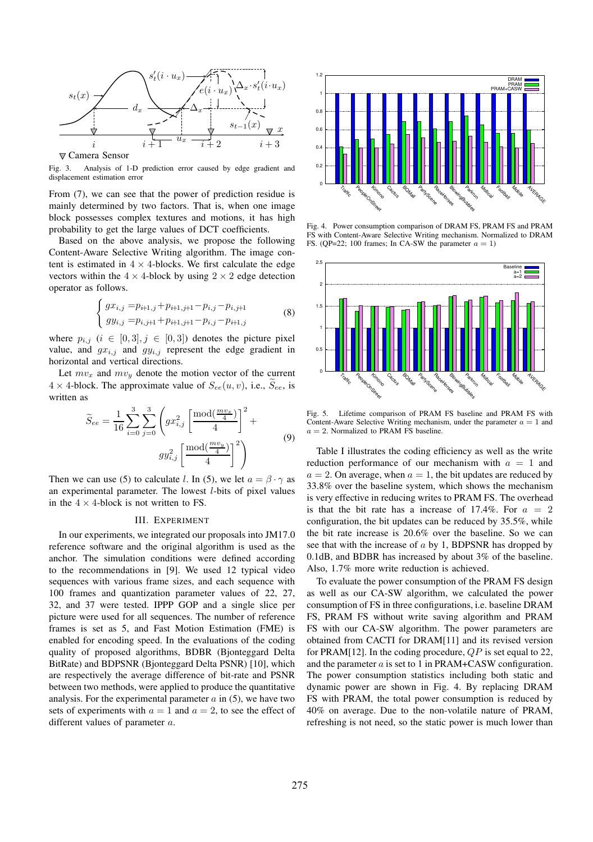

Fig. 3. Analysis of 1-D prediction error caused by edge gradient and displacement estimation error

From (7), we can see that the power of prediction residue is mainly determined by two factors. That is, when one image block possesses complex textures and motions, it has high probability to get the large values of DCT coefficients.

Based on the above analysis, we propose the following Content-Aware Selective Writing algorithm. The image content is estimated in  $4 \times 4$ -blocks. We first calculate the edge vectors within the  $4 \times 4$ -block by using  $2 \times 2$  edge detection operator as follows.

$$
\begin{cases}\ngx_{i,j} = p_{i+1,j} + p_{i+1,j+1} - p_{i,j} - p_{i,j+1} \\
gy_{i,j} = p_{i,j+1} + p_{i+1,j+1} - p_{i,j} - p_{i+1,j}\n\end{cases} \tag{8}
$$

where  $p_{i,j}$   $(i \in [0,3], j \in [0,3])$  denotes the picture pixel value, and  $gx_{i,j}$  and  $gy_{i,j}$  represent the edge gradient in horizontal and vertical directions.

Let  $mv_x$  and  $mv_y$  denote the motion vector of the current  $4 \times 4$ -block. The approximate value of  $S_{ee}(u, v)$ , i.e.,  $\widetilde{S}_{ee}$ , is written as

$$
\widetilde{S}_{ee} = \frac{1}{16} \sum_{i=0}^{3} \sum_{j=0}^{3} \left( gx_{i,j}^2 \left[ \frac{\text{mod}(\frac{mv_x}{4})}{4} \right]^2 + \frac{gy_{i,j}^2 \left[ \frac{\text{mod}(\frac{mv_y}{4})}{4} \right]^2}{4} \right)
$$
\n(9)

Then we can use (5) to calculate l. In (5), we let  $a = \beta \cdot \gamma$  as an experimental parameter. The lowest  $l$ -bits of pixel values in the  $4 \times 4$ -block is not written to FS.

## III. EXPERIMENT

In our experiments, we integrated our proposals into JM17.0 reference software and the original algorithm is used as the anchor. The simulation conditions were defined according to the recommendations in [9]. We used 12 typical video sequences with various frame sizes, and each sequence with 100 frames and quantization parameter values of 22, 27, 32, and 37 were tested. IPPP GOP and a single slice per picture were used for all sequences. The number of reference frames is set as 5, and Fast Motion Estimation (FME) is enabled for encoding speed. In the evaluations of the coding quality of proposed algorithms, BDBR (Bjonteggard Delta BitRate) and BDPSNR (Bjonteggard Delta PSNR) [10], which are respectively the average difference of bit-rate and PSNR between two methods, were applied to produce the quantitative analysis. For the experimental parameter  $a$  in (5), we have two sets of experiments with  $a = 1$  and  $a = 2$ , to see the effect of different values of parameter a.



Fig. 4. Power consumption comparison of DRAM FS, PRAM FS and PRAM FS with Content-Aware Selective Writing mechanism. Normalized to DRAM FS. (QP=22; 100 frames; In CA-SW the parameter  $a = 1$ )



Fig. 5. Lifetime comparison of PRAM FS baseline and PRAM FS with Content-Aware Selective Writing mechanism, under the parameter  $a = 1$  and  $a = 2$ . Normalized to PRAM FS baseline.

Table I illustrates the coding efficiency as well as the write reduction performance of our mechanism with  $a = 1$  and  $a = 2$ . On average, when  $a = 1$ , the bit updates are reduced by 33.8% over the baseline system, which shows the mechanism is very effective in reducing writes to PRAM FS. The overhead is that the bit rate has a increase of 17.4%. For  $a = 2$ configuration, the bit updates can be reduced by 35.5%, while the bit rate increase is 20.6% over the baseline. So we can see that with the increase of a by 1, BDPSNR has dropped by 0.1dB, and BDBR has increased by about 3% of the baseline. Also, 1.7% more write reduction is achieved.

To evaluate the power consumption of the PRAM FS design as well as our CA-SW algorithm, we calculated the power consumption of FS in three configurations, i.e. baseline DRAM FS, PRAM FS without write saving algorithm and PRAM FS with our CA-SW algorithm. The power parameters are obtained from CACTI for DRAM[11] and its revised version for PRAM[12]. In the coding procedure,  $QP$  is set equal to 22, and the parameter a is set to 1 in PRAM+CASW configuration. The power consumption statistics including both static and dynamic power are shown in Fig. 4. By replacing DRAM FS with PRAM, the total power consumption is reduced by 40% on average. Due to the non-volatile nature of PRAM, refreshing is not need, so the static power is much lower than